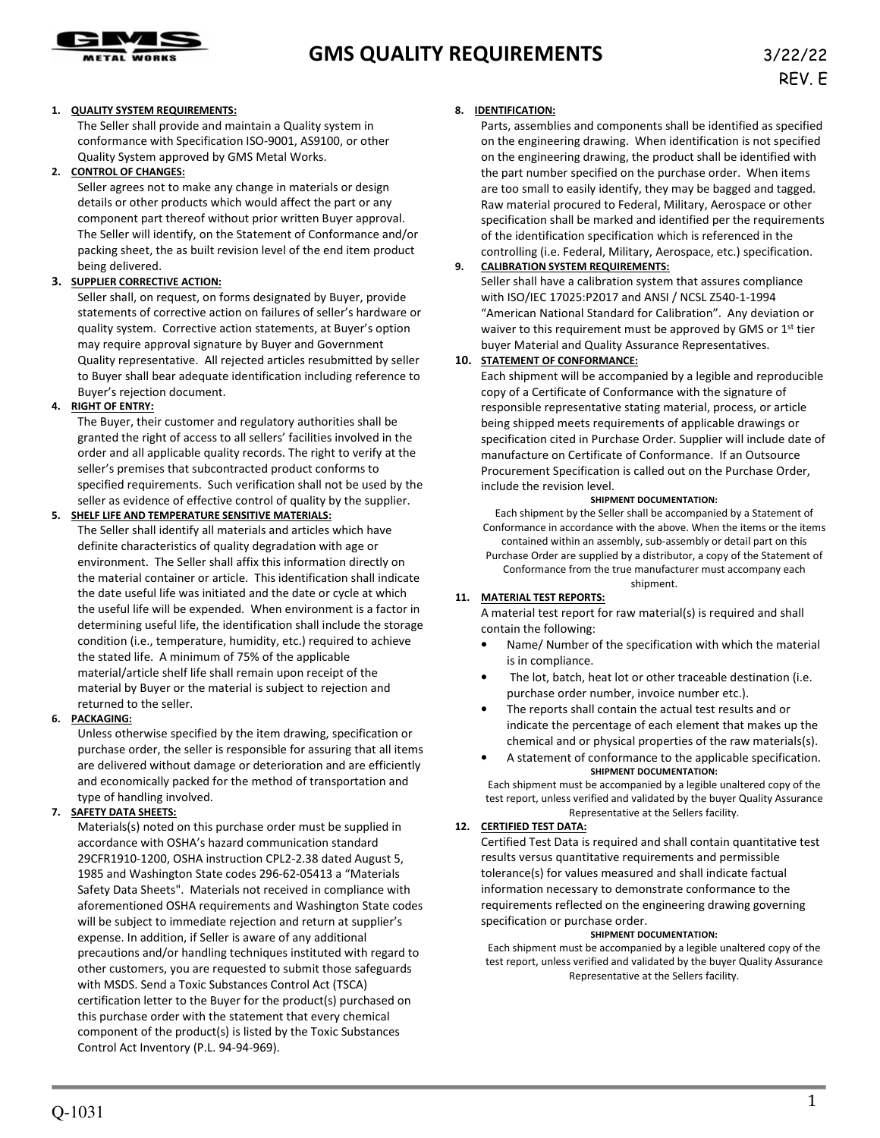

# **GMS QUALITY REQUIREMENTS** 3/22/22

#### **1. QUALITY SYSTEM REQUIREMENTS:**

The Seller shall provide and maintain a Quality system in conformance with Specification ISO-9001, AS9100, or other Quality System approved by GMS Metal Works.

#### **2. CONTROL OF CHANGES:**

Seller agrees not to make any change in materials or design details or other products which would affect the part or any component part thereof without prior written Buyer approval. The Seller will identify, on the Statement of Conformance and/or packing sheet, the as built revision level of the end item product being delivered.

#### **3. SUPPLIER CORRECTIVE ACTION:**

Seller shall, on request, on forms designated by Buyer, provide statements of corrective action on failures of seller's hardware or quality system. Corrective action statements, at Buyer's option may require approval signature by Buyer and Government Quality representative. All rejected articles resubmitted by seller to Buyer shall bear adequate identification including reference to Buyer's rejection document.

#### **4. RIGHT OF ENTRY:**

The Buyer, their customer and regulatory authorities shall be granted the right of access to all sellers' facilities involved in the order and all applicable quality records. The right to verify at the seller's premises that subcontracted product conforms to specified requirements. Such verification shall not be used by the seller as evidence of effective control of quality by the supplier.

#### **5. SHELF LIFE AND TEMPERATURE SENSITIVE MATERIALS:**

The Seller shall identify all materials and articles which have definite characteristics of quality degradation with age or environment. The Seller shall affix this information directly on the material container or article. This identification shall indicate the date useful life was initiated and the date or cycle at which the useful life will be expended. When environment is a factor in determining useful life, the identification shall include the storage condition (i.e., temperature, humidity, etc.) required to achieve the stated life. A minimum of 75% of the applicable material/article shelf life shall remain upon receipt of the material by Buyer or the material is subject to rejection and returned to the seller.

#### **6. PACKAGING:**

Unless otherwise specified by the item drawing, specification or purchase order, the seller is responsible for assuring that all items are delivered without damage or deterioration and are efficiently and economically packed for the method of transportation and type of handling involved.

#### **7. SAFETY DATA SHEETS:**

Materials(s) noted on this purchase order must be supplied in accordance with OSHA's hazard communication standard 29CFR1910-1200, OSHA instruction CPL2-2.38 dated August 5, 1985 and Washington State codes 296-62-05413 a "Materials Safety Data Sheets". Materials not received in compliance with aforementioned OSHA requirements and Washington State codes will be subject to immediate rejection and return at supplier's expense. In addition, if Seller is aware of any additional precautions and/or handling techniques instituted with regard to other customers, you are requested to submit those safeguards with MSDS. Send a Toxic Substances Control Act (TSCA) certification letter to the Buyer for the product(s) purchased on this purchase order with the statement that every chemical component of the product(s) is listed by the Toxic Substances Control Act Inventory (P.L. 94-94-969).

#### **8. IDENTIFICATION:**

Parts, assemblies and components shall be identified as specified on the engineering drawing. When identification is not specified on the engineering drawing, the product shall be identified with the part number specified on the purchase order. When items are too small to easily identify, they may be bagged and tagged. Raw material procured to Federal, Military, Aerospace or other specification shall be marked and identified per the requirements of the identification specification which is referenced in the controlling (i.e. Federal, Military, Aerospace, etc.) specification.

#### **9. CALIBRATION SYSTEM REQUIREMENTS:**

Seller shall have a calibration system that assures compliance with ISO/IEC 17025:P2017 and ANSI / NCSL Z540-1-1994 "American National Standard for Calibration". Any deviation or waiver to this requirement must be approved by GMS or 1<sup>st</sup> tier buyer Material and Quality Assurance Representatives.

#### **10. STATEMENT OF CONFORMANCE:**

Each shipment will be accompanied by a legible and reproducible copy of a Certificate of Conformance with the signature of responsible representative stating material, process, or article being shipped meets requirements of applicable drawings or specification cited in Purchase Order. Supplier will include date of manufacture on Certificate of Conformance. If an Outsource Procurement Specification is called out on the Purchase Order, include the revision level.

#### **SHIPMENT DOCUMENTATION:**

Each shipment by the Seller shall be accompanied by a Statement of Conformance in accordance with the above. When the items or the items contained within an assembly, sub-assembly or detail part on this Purchase Order are supplied by a distributor, a copy of the Statement of

Conformance from the true manufacturer must accompany each shipment.

### **11. MATERIAL TEST REPORTS:**

A material test report for raw material(s) is required and shall contain the following:

- Name/ Number of the specification with which the material is in compliance.
- The lot, batch, heat lot or other traceable destination (i.e. purchase order number, invoice number etc.).
- The reports shall contain the actual test results and or indicate the percentage of each element that makes up the chemical and or physical properties of the raw materials(s).
- A statement of conformance to the applicable specification. **SHIPMENT DOCUMENTATION:**

Each shipment must be accompanied by a legible unaltered copy of the test report, unless verified and validated by the buyer Quality Assurance Representative at the Sellers facility.

#### **12. CERTIFIED TEST DATA:**

Certified Test Data is required and shall contain quantitative test results versus quantitative requirements and permissible tolerance(s) for values measured and shall indicate factual information necessary to demonstrate conformance to the requirements reflected on the engineering drawing governing specification or purchase order.

#### **SHIPMENT DOCUMENTATION:**

Each shipment must be accompanied by a legible unaltered copy of the test report, unless verified and validated by the buyer Quality Assurance Representative at the Sellers facility.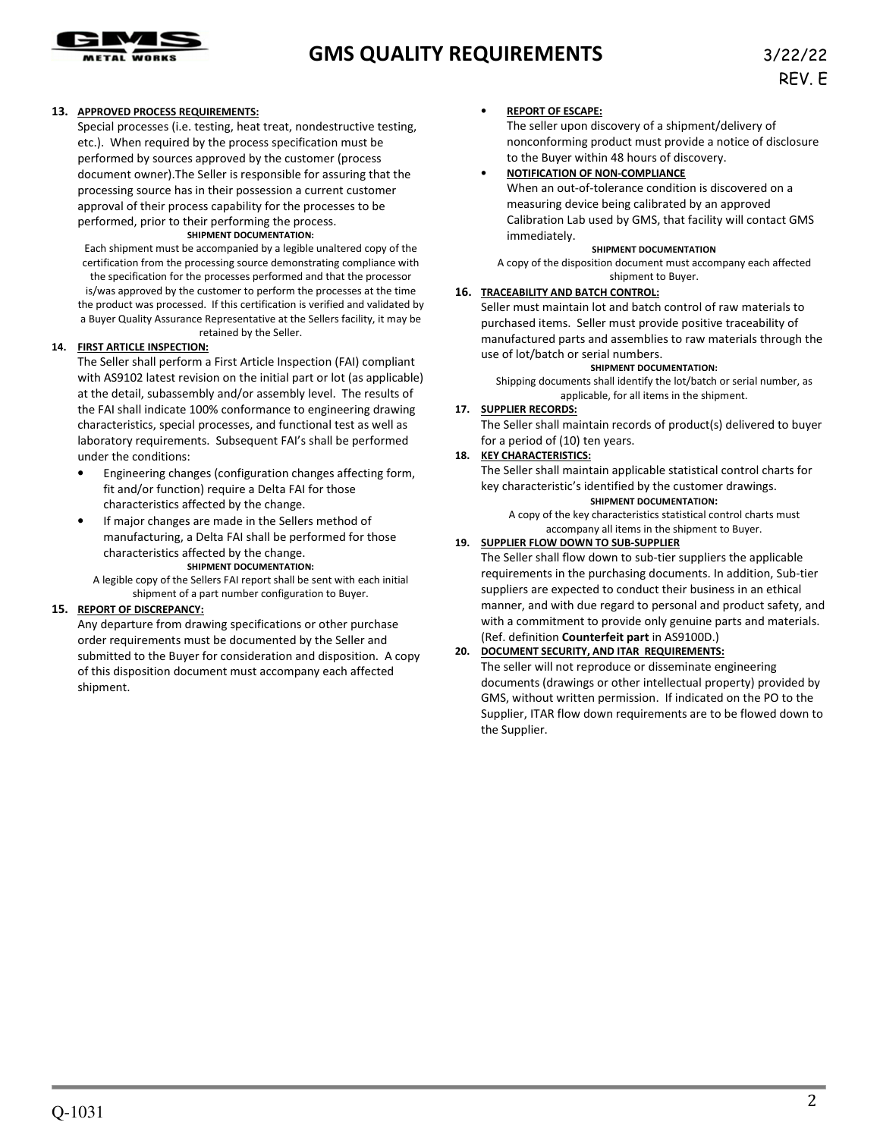

# **GMS QUALITY REQUIREMENTS** 3/22/22

#### **13. APPROVED PROCESS REQUIREMENTS:**

Special processes (i.e. testing, heat treat, nondestructive testing, etc.). When required by the process specification must be performed by sources approved by the customer (process document owner).The Seller is responsible for assuring that the processing source has in their possession a current customer approval of their process capability for the processes to be performed, prior to their performing the process.

#### **SHIPMENT DOCUMENTATION:**

Each shipment must be accompanied by a legible unaltered copy of the certification from the processing source demonstrating compliance with the specification for the processes performed and that the processor is/was approved by the customer to perform the processes at the time the product was processed. If this certification is verified and validated by a Buyer Quality Assurance Representative at the Sellers facility, it may be

retained by the Seller.

#### **14. FIRST ARTICLE INSPECTION:**

The Seller shall perform a First Article Inspection (FAI) compliant with AS9102 latest revision on the initial part or lot (as applicable) at the detail, subassembly and/or assembly level. The results of the FAI shall indicate 100% conformance to engineering drawing characteristics, special processes, and functional test as well as laboratory requirements. Subsequent FAI's shall be performed under the conditions:

- Engineering changes (configuration changes affecting form, fit and/or function) require a Delta FAI for those characteristics affected by the change.
- If major changes are made in the Sellers method of manufacturing, a Delta FAI shall be performed for those characteristics affected by the change. **SHIPMENT DOCUMENTATION:**

A legible copy of the Sellers FAI report shall be sent with each initial shipment of a part number configuration to Buyer.

#### **15. REPORT OF DISCREPANCY:**

Any departure from drawing specifications or other purchase order requirements must be documented by the Seller and submitted to the Buyer for consideration and disposition. A copy of this disposition document must accompany each affected shipment.

#### • **REPORT OF ESCAPE:**

The seller upon discovery of a shipment/delivery of nonconforming product must provide a notice of disclosure to the Buyer within 48 hours of discovery.

#### • **NOTIFICATION OF NON-COMPLIANCE**

When an out-of-tolerance condition is discovered on a measuring device being calibrated by an approved Calibration Lab used by GMS, that facility will contact GMS immediately.

#### **SHIPMENT DOCUMENTATION**

A copy of the disposition document must accompany each affected shipment to Buyer.

#### **16. TRACEABILITY AND BATCH CONTROL:**

Seller must maintain lot and batch control of raw materials to purchased items. Seller must provide positive traceability of manufactured parts and assemblies to raw materials through the use of lot/batch or serial numbers.

#### **SHIPMENT DOCUMENTATION:**

Shipping documents shall identify the lot/batch or serial number, as applicable, for all items in the shipment.

#### **17. SUPPLIER RECORDS:**

The Seller shall maintain records of product(s) delivered to buyer for a period of (10) ten years.

#### **18. KEY CHARACTERISTICS:**

The Seller shall maintain applicable statistical control charts for key characteristic's identified by the customer drawings.

#### **SHIPMENT DOCUMENTATION:**

A copy of the key characteristics statistical control charts must accompany all items in the shipment to Buyer.

#### **19. SUPPLIER FLOW DOWN TO SUB-SUPPLIER**

The Seller shall flow down to sub-tier suppliers the applicable requirements in the purchasing documents. In addition, Sub-tier suppliers are expected to conduct their business in an ethical manner, and with due regard to personal and product safety, and with a commitment to provide only genuine parts and materials. (Ref. definition **Counterfeit part** in AS9100D.)

#### **20. DOCUMENT SECURITY, AND ITAR REQUIREMENTS:**

The seller will not reproduce or disseminate engineering documents (drawings or other intellectual property) provided by GMS, without written permission. If indicated on the PO to the Supplier, ITAR flow down requirements are to be flowed down to the Supplier.